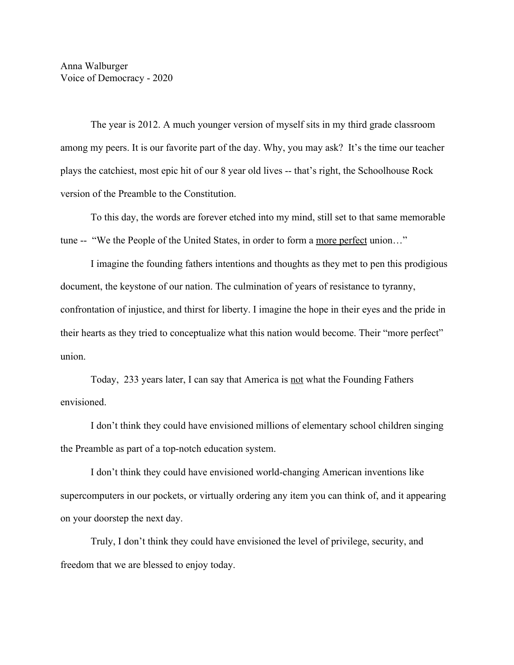The year is 2012. A much younger version of myself sits in my third grade classroom among my peers. It is our favorite part of the day. Why, you may ask? It's the time our teacher plays the catchiest, most epic hit of our 8 year old lives -- that's right, the Schoolhouse Rock version of the Preamble to the Constitution.

To this day, the words are forever etched into my mind, still set to that same memorable tune -- "We the People of the United States, in order to form a more perfect union…"

I imagine the founding fathers intentions and thoughts as they met to pen this prodigious document, the keystone of our nation. The culmination of years of resistance to tyranny, confrontation of injustice, and thirst for liberty. I imagine the hope in their eyes and the pride in their hearts as they tried to conceptualize what this nation would become. Their "more perfect" union.

Today, 233 years later, I can say that America is not what the Founding Fathers envisioned.

I don't think they could have envisioned millions of elementary school children singing the Preamble as part of a top-notch education system.

I don't think they could have envisioned world-changing American inventions like supercomputers in our pockets, or virtually ordering any item you can think of, and it appearing on your doorstep the next day.

Truly, I don't think they could have envisioned the level of privilege, security, and freedom that we are blessed to enjoy today.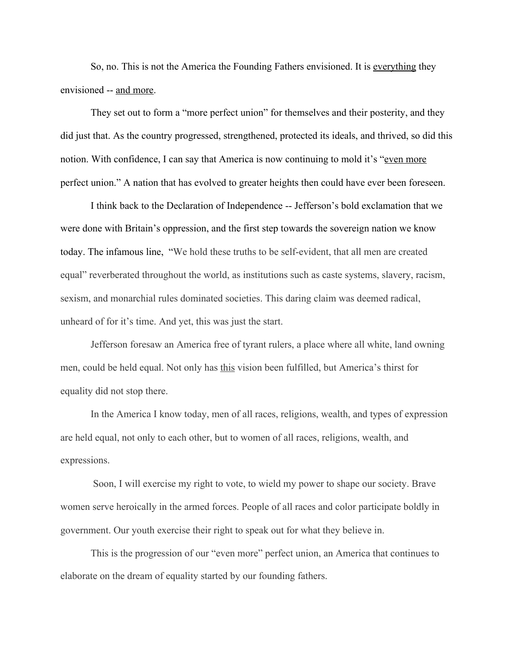So, no. This is not the America the Founding Fathers envisioned. It is everything they envisioned -- and more.

They set out to form a "more perfect union" for themselves and their posterity, and they did just that. As the country progressed, strengthened, protected its ideals, and thrived, so did this notion. With confidence, I can say that America is now continuing to mold it's "even more perfect union." A nation that has evolved to greater heights then could have ever been foreseen.

I think back to the Declaration of Independence -- Jefferson's bold exclamation that we were done with Britain's oppression, and the first step towards the sovereign nation we know today. The infamous line, "We hold these truths to be self-evident, that all men are created equal" reverberated throughout the world, as institutions such as caste systems, slavery, racism, sexism, and monarchial rules dominated societies. This daring claim was deemed radical, unheard of for it's time. And yet, this was just the start.

Jefferson foresaw an America free of tyrant rulers, a place where all white, land owning men, could be held equal. Not only has this vision been fulfilled, but America's thirst for equality did not stop there.

In the America I know today, men of all races, religions, wealth, and types of expression are held equal, not only to each other, but to women of all races, religions, wealth, and expressions.

 Soon, I will exercise my right to vote, to wield my power to shape our society. Brave women serve heroically in the armed forces. People of all races and color participate boldly in government. Our youth exercise their right to speak out for what they believe in.

This is the progression of our "even more" perfect union, an America that continues to elaborate on the dream of equality started by our founding fathers.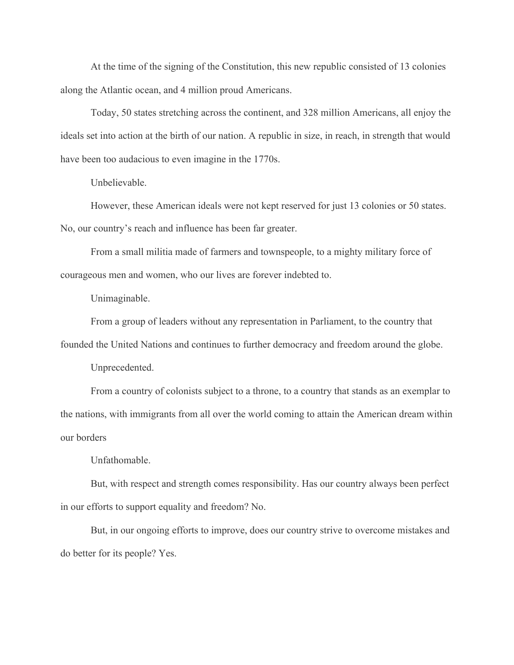At the time of the signing of the Constitution, this new republic consisted of 13 colonies along the Atlantic ocean, and 4 million proud Americans.

Today, 50 states stretching across the continent, and 328 million Americans, all enjoy the ideals set into action at the birth of our nation. A republic in size, in reach, in strength that would have been too audacious to even imagine in the 1770s.

Unbelievable.

However, these American ideals were not kept reserved for just 13 colonies or 50 states. No, our country's reach and influence has been far greater.

From a small militia made of farmers and townspeople, to a mighty military force of courageous men and women, who our lives are forever indebted to.

Unimaginable.

From a group of leaders without any representation in Parliament, to the country that founded the United Nations and continues to further democracy and freedom around the globe.

Unprecedented.

From a country of colonists subject to a throne, to a country that stands as an exemplar to the nations, with immigrants from all over the world coming to attain the American dream within our borders

Unfathomable.

But, with respect and strength comes responsibility. Has our country always been perfect in our efforts to support equality and freedom? No.

But, in our ongoing efforts to improve, does our country strive to overcome mistakes and do better for its people? Yes.